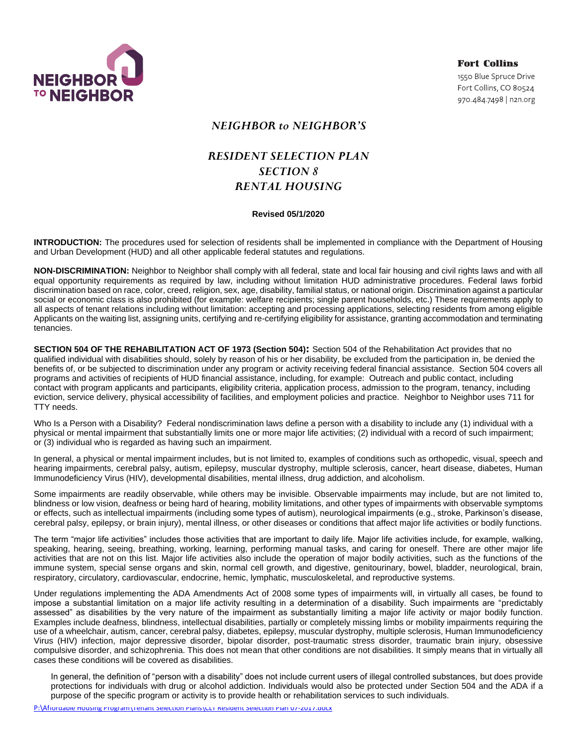

**Fort Collins** 1550 Blue Spruce Drive Fort Collins, CO 80524 970.484.7498 | n2n.org

## *NEIGHBOR to NEIGHBOR'S*

# *RESIDENT SELECTION PLAN SECTION 8 RENTAL HOUSING*

### **Revised 05/1/2020**

**INTRODUCTION:** The procedures used for selection of residents shall be implemented in compliance with the Department of Housing and Urban Development (HUD) and all other applicable federal statutes and regulations.

**NON-DISCRIMINATION:** Neighbor to Neighbor shall comply with all federal, state and local fair housing and civil rights laws and with all equal opportunity requirements as required by law, including without limitation HUD administrative procedures. Federal laws forbid discrimination based on race, color, creed, religion, sex, age, disability, familial status, or national origin. Discrimination against a particular social or economic class is also prohibited (for example: welfare recipients; single parent households, etc.) These requirements apply to all aspects of tenant relations including without limitation: accepting and processing applications, selecting residents from among eligible Applicants on the waiting list, assigning units, certifying and re-certifying eligibility for assistance, granting accommodation and terminating tenancies.

**SECTION 504 OF THE REHABILITATION ACT OF 1973 (Section 504):** Section 504 of the Rehabilitation Act provides that no qualified individual with disabilities should, solely by reason of his or her disability, be excluded from the participation in, be denied the benefits of, or be subjected to discrimination under any program or activity receiving federal financial assistance. Section 504 covers all programs and activities of recipients of HUD financial assistance, including, for example: Outreach and public contact, including contact with program applicants and participants, eligibility criteria, application process, admission to the program, tenancy, including eviction, service delivery, physical accessibility of facilities, and employment policies and practice. Neighbor to Neighbor uses 711 for TTY needs.

Who Is a Person with a Disability? Federal nondiscrimination laws define a person with a disability to include any (1) individual with a physical or mental impairment that substantially limits one or more major life activities; (2) individual with a record of such impairment; or (3) individual who is regarded as having such an impairment.

In general, a physical or mental impairment includes, but is not limited to, examples of conditions such as orthopedic, visual, speech and hearing impairments, cerebral palsy, autism, epilepsy, muscular dystrophy, multiple sclerosis, cancer, heart disease, diabetes, Human Immunodeficiency Virus (HIV), developmental disabilities, mental illness, drug addiction, and alcoholism.

Some impairments are readily observable, while others may be invisible. Observable impairments may include, but are not limited to, blindness or low vision, deafness or being hard of hearing, mobility limitations, and other types of impairments with observable symptoms or effects, such as intellectual impairments (including some types of autism), neurological impairments (e.g., stroke, Parkinson's disease, cerebral palsy, epilepsy, or brain injury), mental illness, or other diseases or conditions that affect major life activities or bodily functions.

The term "major life activities" includes those activities that are important to daily life. Major life activities include, for example, walking, speaking, hearing, seeing, breathing, working, learning, performing manual tasks, and caring for oneself. There are other major life activities that are not on this list. Major life activities also include the operation of major bodily activities, such as the functions of the immune system, special sense organs and skin, normal cell growth, and digestive, genitourinary, bowel, bladder, neurological, brain, respiratory, circulatory, cardiovascular, endocrine, hemic, lymphatic, musculoskeletal, and reproductive systems.

Under regulations implementing the ADA Amendments Act of 2008 some types of impairments will, in virtually all cases, be found to impose a substantial limitation on a major life activity resulting in a determination of a disability. Such impairments are "predictably assessed" as disabilities by the very nature of the impairment as substantially limiting a major life activity or major bodily function. Examples include deafness, blindness, intellectual disabilities, partially or completely missing limbs or mobility impairments requiring the use of a wheelchair, autism, cancer, cerebral palsy, diabetes, epilepsy, muscular dystrophy, multiple sclerosis, Human Immunodeficiency Virus (HIV) infection, major depressive disorder, bipolar disorder, post-traumatic stress disorder, traumatic brain injury, obsessive compulsive disorder, and schizophrenia. This does not mean that other conditions are not disabilities. It simply means that in virtually all cases these conditions will be covered as disabilities.

In general, the definition of "person with a disability" does not include current users of illegal controlled substances, but does provide protections for individuals with drug or alcohol addiction. Individuals would also be protected under Section 504 and the ADA if a purpose of the specific program or activity is to provide health or rehabilitation services to such individuals.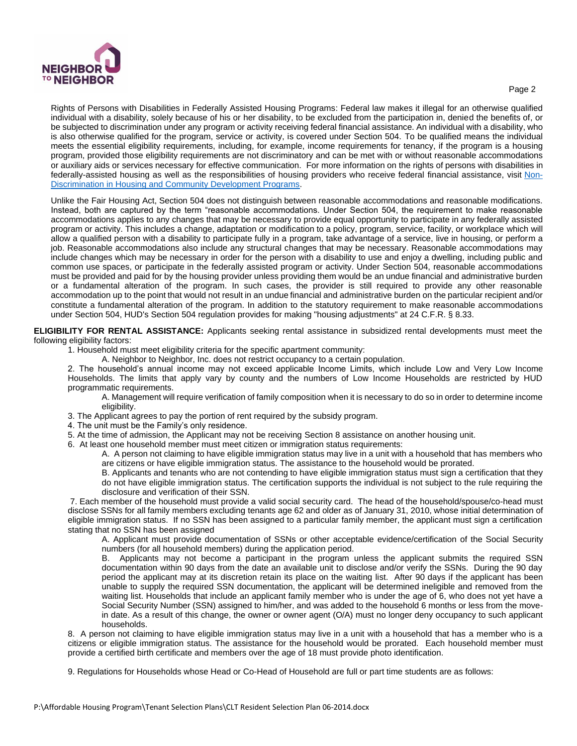

#### Page 2

Rights of Persons with Disabilities in Federally Assisted Housing Programs: Federal law makes it illegal for an otherwise qualified individual with a disability, solely because of his or her disability, to be excluded from the participation in, denied the benefits of, or be subjected to discrimination under any program or activity receiving federal financial assistance. An individual with a disability, who is also otherwise qualified for the program, service or activity, is covered under Section 504. To be qualified means the individual meets the essential eligibility requirements, including, for example, income requirements for tenancy, if the program is a housing program, provided those eligibility requirements are not discriminatory and can be met with or without reasonable accommodations or auxiliary aids or services necessary for effective communication. For more information on the rights of persons with disabilities in federally-assisted housing as well as the responsibilities of housing providers who receive federal financial assistance, visit [Non-](https://www.hud.gov/program_offices/fair_housing_equal_opp/non_discrimination_housing_and_community_development_0)[Discrimination in Housing and Community Development Programs.](https://www.hud.gov/program_offices/fair_housing_equal_opp/non_discrimination_housing_and_community_development_0)

Unlike the Fair Housing Act, Section 504 does not distinguish between reasonable accommodations and reasonable modifications. Instead, both are captured by the term "reasonable accommodations. Under Section 504, the requirement to make reasonable accommodations applies to any changes that may be necessary to provide equal opportunity to participate in any federally assisted program or activity. This includes a change, adaptation or modification to a policy, program, service, facility, or workplace which will allow a qualified person with a disability to participate fully in a program, take advantage of a service, live in housing, or perform a job. Reasonable accommodations also include any structural changes that may be necessary. Reasonable accommodations may include changes which may be necessary in order for the person with a disability to use and enjoy a dwelling, including public and common use spaces, or participate in the federally assisted program or activity. Under Section 504, reasonable accommodations must be provided and paid for by the housing provider unless providing them would be an undue financial and administrative burden or a fundamental alteration of the program. In such cases, the provider is still required to provide any other reasonable accommodation up to the point that would not result in an undue financial and administrative burden on the particular recipient and/or constitute a fundamental alteration of the program. In addition to the statutory requirement to make reasonable accommodations under Section 504, HUD's Section 504 regulation provides for making "housing adjustments" at 24 C.F.R. § 8.33.

**ELIGIBILITY FOR RENTAL ASSISTANCE:** Applicants seeking rental assistance in subsidized rental developments must meet the following eligibility factors:

1. Household must meet eligibility criteria for the specific apartment community:

A. Neighbor to Neighbor, Inc. does not restrict occupancy to a certain population.

2. The household's annual income may not exceed applicable Income Limits, which include Low and Very Low Income Households. The limits that apply vary by county and the numbers of Low Income Households are restricted by HUD programmatic requirements.

A. Management will require verification of family composition when it is necessary to do so in order to determine income eligibility.

- 3. The Applicant agrees to pay the portion of rent required by the subsidy program.
- 4. The unit must be the Family's only residence.
- 5. At the time of admission, the Applicant may not be receiving Section 8 assistance on another housing unit.

6. At least one household member must meet citizen or immigration status requirements:

A. A person not claiming to have eligible immigration status may live in a unit with a household that has members who are citizens or have eligible immigration status. The assistance to the household would be prorated.

B. Applicants and tenants who are not contending to have eligible immigration status must sign a certification that they do not have eligible immigration status. The certification supports the individual is not subject to the rule requiring the disclosure and verification of their SSN.

7. Each member of the household must provide a valid social security card. The head of the household/spouse/co-head must disclose SSNs for all family members excluding tenants age 62 and older as of January 31, 2010, whose initial determination of eligible immigration status. If no SSN has been assigned to a particular family member, the applicant must sign a certification stating that no SSN has been assigned

A. Applicant must provide documentation of SSNs or other acceptable evidence/certification of the Social Security numbers (for all household members) during the application period.

B. Applicants may not become a participant in the program unless the applicant submits the required SSN documentation within 90 days from the date an available unit to disclose and/or verify the SSNs. During the 90 day period the applicant may at its discretion retain its place on the waiting list. After 90 days if the applicant has been unable to supply the required SSN documentation, the applicant will be determined ineligible and removed from the waiting list. Households that include an applicant family member who is under the age of 6, who does not yet have a Social Security Number (SSN) assigned to him/her, and was added to the household 6 months or less from the movein date. As a result of this change, the owner or owner agent (O/A) must no longer deny occupancy to such applicant households.

8. A person not claiming to have eligible immigration status may live in a unit with a household that has a member who is a citizens or eligible immigration status. The assistance for the household would be prorated. Each household member must provide a certified birth certificate and members over the age of 18 must provide photo identification.

9. Regulations for Households whose Head or Co-Head of Household are full or part time students are as follows: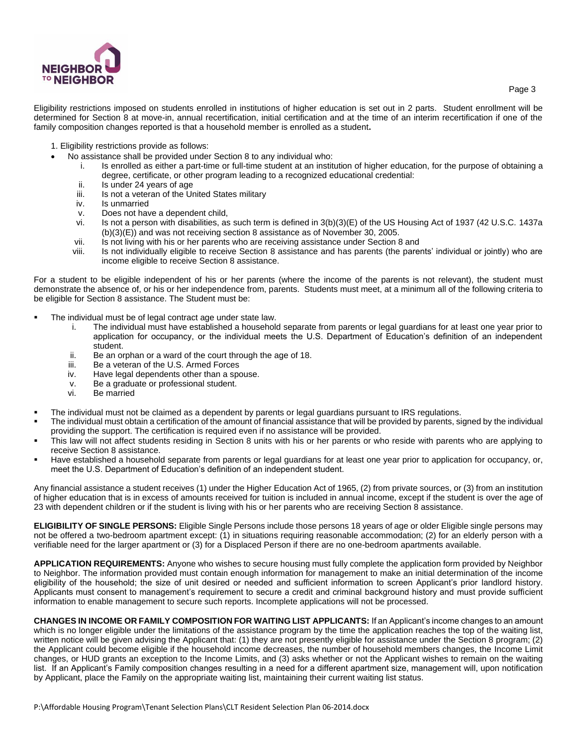

Eligibility restrictions imposed on students enrolled in institutions of higher education is set out in 2 parts. Student enrollment will be determined for Section 8 at move-in, annual recertification, initial certification and at the time of an interim recertification if one of the family composition changes reported is that a household member is enrolled as a student**.**

- 1. Eligibility restrictions provide as follows:
- No assistance shall be provided under Section 8 to any individual who:
	- i. Is enrolled as either a part-time or full-time student at an institution of higher education, for the purpose of obtaining a degree, certificate, or other program leading to a recognized educational credential:
	- ii. Is under 24 years of age
	- iii. Is not a veteran of the United States military
	- iv. Is unmarried
	- v. Does not have a dependent child,
	- vi. Is not a person with disabilities, as such term is defined in 3(b)(3)(E) of the US Housing Act of 1937 (42 U.S.C. 1437a (b)(3)(E)) and was not receiving section 8 assistance as of November 30, 2005.
	- vii. Is not living with his or her parents who are receiving assistance under Section 8 and
	- viii. Is not individually eligible to receive Section 8 assistance and has parents (the parents' individual or jointly) who are income eligible to receive Section 8 assistance.

For a student to be eligible independent of his or her parents (where the income of the parents is not relevant), the student must demonstrate the absence of, or his or her independence from, parents. Students must meet, at a minimum all of the following criteria to be eligible for Section 8 assistance. The Student must be:

- The individual must be of legal contract age under state law.
	- i. The individual must have established a household separate from parents or legal guardians for at least one year prior to application for occupancy, or the individual meets the U.S. Department of Education's definition of an independent student.
	- ii. Be an orphan or a ward of the court through the age of 18.
	- iii. Be a veteran of the U.S. Armed Forces
	- iv. Have legal dependents other than a spouse.
	- v. Be a graduate or professional student.
	- vi. Be married
- The individual must not be claimed as a dependent by parents or legal guardians pursuant to IRS regulations.
- The individual must obtain a certification of the amount of financial assistance that will be provided by parents, signed by the individual providing the support. The certification is required even if no assistance will be provided.
- This law will not affect students residing in Section 8 units with his or her parents or who reside with parents who are applying to receive Section 8 assistance.
- Have established a household separate from parents or legal guardians for at least one year prior to application for occupancy, or, meet the U.S. Department of Education's definition of an independent student.

Any financial assistance a student receives (1) under the Higher Education Act of 1965, (2) from private sources, or (3) from an institution of higher education that is in excess of amounts received for tuition is included in annual income, except if the student is over the age of 23 with dependent children or if the student is living with his or her parents who are receiving Section 8 assistance.

**ELIGIBILITY OF SINGLE PERSONS:** Eligible Single Persons include those persons 18 years of age or older Eligible single persons may not be offered a two-bedroom apartment except: (1) in situations requiring reasonable accommodation; (2) for an elderly person with a verifiable need for the larger apartment or (3) for a Displaced Person if there are no one-bedroom apartments available.

**APPLICATION REQUIREMENTS:** Anyone who wishes to secure housing must fully complete the application form provided by Neighbor to Neighbor. The information provided must contain enough information for management to make an initial determination of the income eligibility of the household; the size of unit desired or needed and sufficient information to screen Applicant's prior landlord history. Applicants must consent to management's requirement to secure a credit and criminal background history and must provide sufficient information to enable management to secure such reports. Incomplete applications will not be processed.

**CHANGES IN INCOME OR FAMILY COMPOSITION FOR WAITING LIST APPLICANTS:** If an Applicant's income changes to an amount which is no longer eligible under the limitations of the assistance program by the time the application reaches the top of the waiting list, written notice will be given advising the Applicant that: (1) they are not presently eligible for assistance under the Section 8 program; (2) the Applicant could become eligible if the household income decreases, the number of household members changes, the Income Limit changes, or HUD grants an exception to the Income Limits, and (3) asks whether or not the Applicant wishes to remain on the waiting list. If an Applicant's Family composition changes resulting in a need for a different apartment size, management will, upon notification by Applicant, place the Family on the appropriate waiting list, maintaining their current waiting list status.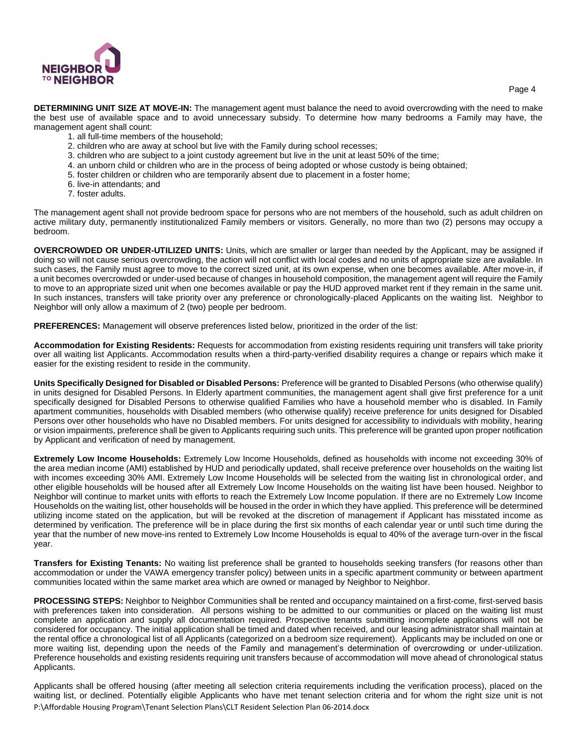

Page 4

**DETERMINING UNIT SIZE AT MOVE-IN:** The management agent must balance the need to avoid overcrowding with the need to make the best use of available space and to avoid unnecessary subsidy. To determine how many bedrooms a Family may have, the management agent shall count:

- 1. all full-time members of the household;
- 2. children who are away at school but live with the Family during school recesses;
- 3. children who are subject to a joint custody agreement but live in the unit at least 50% of the time;
- 4. an unborn child or children who are in the process of being adopted or whose custody is being obtained;
- 5. foster children or children who are temporarily absent due to placement in a foster home;
- 6. live-in attendants; and
- 7. foster adults.

The management agent shall not provide bedroom space for persons who are not members of the household, such as adult children on active military duty, permanently institutionalized Family members or visitors. Generally, no more than two (2) persons may occupy a bedroom.

**OVERCROWDED OR UNDER-UTILIZED UNITS:** Units, which are smaller or larger than needed by the Applicant, may be assigned if doing so will not cause serious overcrowding, the action will not conflict with local codes and no units of appropriate size are available. In such cases, the Family must agree to move to the correct sized unit, at its own expense, when one becomes available. After move-in, if a unit becomes overcrowded or under-used because of changes in household composition, the management agent will require the Family to move to an appropriate sized unit when one becomes available or pay the HUD approved market rent if they remain in the same unit. In such instances, transfers will take priority over any preference or chronologically-placed Applicants on the waiting list. Neighbor to Neighbor will only allow a maximum of 2 (two) people per bedroom.

**PREFERENCES:** Management will observe preferences listed below, prioritized in the order of the list:

**Accommodation for Existing Residents:** Requests for accommodation from existing residents requiring unit transfers will take priority over all waiting list Applicants. Accommodation results when a third-party-verified disability requires a change or repairs which make it easier for the existing resident to reside in the community.

**Units Specifically Designed for Disabled or Disabled Persons:** Preference will be granted to Disabled Persons (who otherwise qualify) in units designed for Disabled Persons. In Elderly apartment communities, the management agent shall give first preference for a unit specifically designed for Disabled Persons to otherwise qualified Families who have a household member who is disabled. In Family apartment communities, households with Disabled members (who otherwise qualify) receive preference for units designed for Disabled Persons over other households who have no Disabled members. For units designed for accessibility to individuals with mobility, hearing or vision impairments, preference shall be given to Applicants requiring such units. This preference will be granted upon proper notification by Applicant and verification of need by management.

**Extremely Low Income Households:** Extremely Low Income Households, defined as households with income not exceeding 30% of the area median income (AMI) established by HUD and periodically updated, shall receive preference over households on the waiting list with incomes exceeding 30% AMI. Extremely Low Income Households will be selected from the waiting list in chronological order, and other eligible households will be housed after all Extremely Low Income Households on the waiting list have been housed. Neighbor to Neighbor will continue to market units with efforts to reach the Extremely Low Income population. If there are no Extremely Low Income Households on the waiting list, other households will be housed in the order in which they have applied. This preference will be determined utilizing income stated on the application, but will be revoked at the discretion of management if Applicant has misstated income as determined by verification. The preference will be in place during the first six months of each calendar year or until such time during the year that the number of new move-ins rented to Extremely Low Income Households is equal to 40% of the average turn-over in the fiscal year.

**Transfers for Existing Tenants:** No waiting list preference shall be granted to households seeking transfers (for reasons other than accommodation or under the VAWA emergency transfer policy) between units in a specific apartment community or between apartment communities located within the same market area which are owned or managed by Neighbor to Neighbor.

**PROCESSING STEPS:** Neighbor to Neighbor Communities shall be rented and occupancy maintained on a first-come, first-served basis with preferences taken into consideration. All persons wishing to be admitted to our communities or placed on the waiting list must complete an application and supply all documentation required. Prospective tenants submitting incomplete applications will not be considered for occupancy. The initial application shall be timed and dated when received, and our leasing administrator shall maintain at the rental office a chronological list of all Applicants (categorized on a bedroom size requirement). Applicants may be included on one or more waiting list, depending upon the needs of the Family and management's determination of overcrowding or under-utilization. Preference households and existing residents requiring unit transfers because of accommodation will move ahead of chronological status Applicants.

P:\Affordable Housing Program\Tenant Selection Plans\CLT Resident Selection Plan 06-2014.docx Applicants shall be offered housing (after meeting all selection criteria requirements including the verification process), placed on the waiting list, or declined. Potentially eligible Applicants who have met tenant selection criteria and for whom the right size unit is not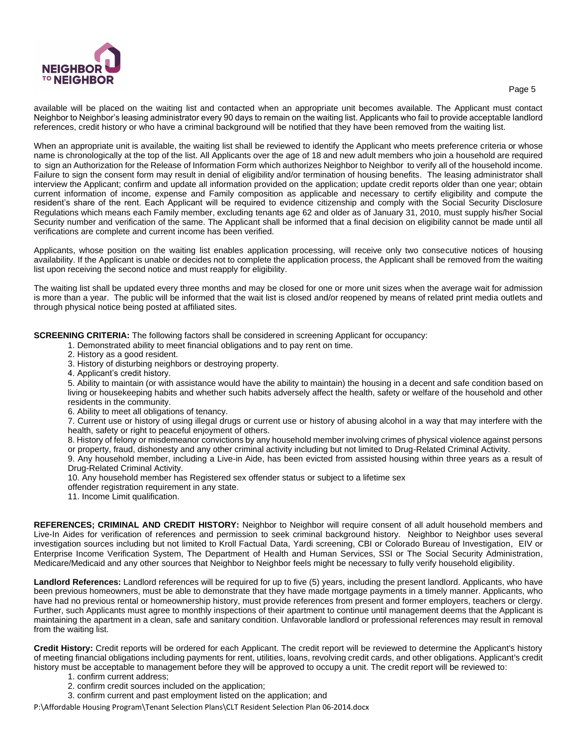

available will be placed on the waiting list and contacted when an appropriate unit becomes available. The Applicant must contact Neighbor to Neighbor's leasing administrator every 90 days to remain on the waiting list. Applicants who fail to provide acceptable landlord references, credit history or who have a criminal background will be notified that they have been removed from the waiting list.

When an appropriate unit is available, the waiting list shall be reviewed to identify the Applicant who meets preference criteria or whose name is chronologically at the top of the list. All Applicants over the age of 18 and new adult members who join a household are required to sign an Authorization for the Release of Information Form which authorizes Neighbor to Neighbor to verify all of the household income. Failure to sign the consent form may result in denial of eligibility and/or termination of housing benefits. The leasing administrator shall interview the Applicant; confirm and update all information provided on the application; update credit reports older than one year; obtain current information of income, expense and Family composition as applicable and necessary to certify eligibility and compute the resident's share of the rent. Each Applicant will be required to evidence citizenship and comply with the Social Security Disclosure Regulations which means each Family member, excluding tenants age 62 and older as of January 31, 2010, must supply his/her Social Security number and verification of the same. The Applicant shall be informed that a final decision on eligibility cannot be made until all verifications are complete and current income has been verified.

Applicants, whose position on the waiting list enables application processing, will receive only two consecutive notices of housing availability. If the Applicant is unable or decides not to complete the application process, the Applicant shall be removed from the waiting list upon receiving the second notice and must reapply for eligibility.

The waiting list shall be updated every three months and may be closed for one or more unit sizes when the average wait for admission is more than a year. The public will be informed that the wait list is closed and/or reopened by means of related print media outlets and through physical notice being posted at affiliated sites.

**SCREENING CRITERIA:** The following factors shall be considered in screening Applicant for occupancy:

- 1. Demonstrated ability to meet financial obligations and to pay rent on time.
- 2. History as a good resident.
- 3. History of disturbing neighbors or destroying property.
- 4. Applicant's credit history.

5. Ability to maintain (or with assistance would have the ability to maintain) the housing in a decent and safe condition based on living or housekeeping habits and whether such habits adversely affect the health, safety or welfare of the household and other residents in the community.

6. Ability to meet all obligations of tenancy.

7. Current use or history of using illegal drugs or current use or history of abusing alcohol in a way that may interfere with the health, safety or right to peaceful enjoyment of others.

8. History of felony or misdemeanor convictions by any household member involving crimes of physical violence against persons or property, fraud, dishonesty and any other criminal activity including but not limited to Drug-Related Criminal Activity.

9. Any household member, including a Live-in Aide, has been evicted from assisted housing within three years as a result of Drug-Related Criminal Activity.

10. Any household member has Registered sex offender status or subject to a lifetime sex

- offender registration requirement in any state.
- 11. Income Limit qualification.

**REFERENCES; CRIMINAL AND CREDIT HISTORY:** Neighbor to Neighbor will require consent of all adult household members and Live-In Aides for verification of references and permission to seek criminal background history. Neighbor to Neighbor uses several investigation sources including but not limited to Kroll Factual Data, Yardi screening, CBI or Colorado Bureau of Investigation, EIV or Enterprise Income Verification System, The Department of Health and Human Services, SSI or The Social Security Administration, Medicare/Medicaid and any other sources that Neighbor to Neighbor feels might be necessary to fully verify household eligibility.

**Landlord References:** Landlord references will be required for up to five (5) years, including the present landlord. Applicants, who have been previous homeowners, must be able to demonstrate that they have made mortgage payments in a timely manner. Applicants, who have had no previous rental or homeownership history, must provide references from present and former employers, teachers or clergy. Further, such Applicants must agree to monthly inspections of their apartment to continue until management deems that the Applicant is maintaining the apartment in a clean, safe and sanitary condition. Unfavorable landlord or professional references may result in removal from the waiting list.

**Credit History:** Credit reports will be ordered for each Applicant. The credit report will be reviewed to determine the Applicant's history of meeting financial obligations including payments for rent, utilities, loans, revolving credit cards, and other obligations. Applicant's credit history must be acceptable to management before they will be approved to occupy a unit. The credit report will be reviewed to:

- 1. confirm current address;
- 2. confirm credit sources included on the application;
- 3. confirm current and past employment listed on the application; and

P:\Affordable Housing Program\Tenant Selection Plans\CLT Resident Selection Plan 06-2014.docx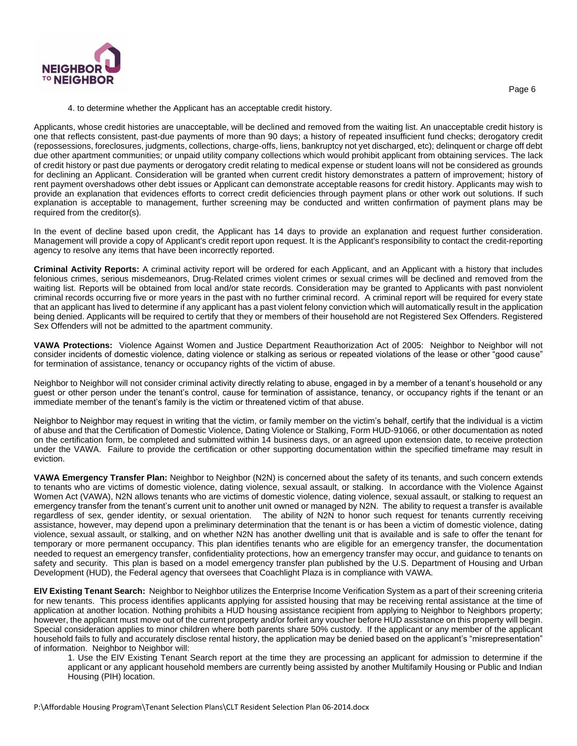

Page 6

#### 4. to determine whether the Applicant has an acceptable credit history.

Applicants, whose credit histories are unacceptable, will be declined and removed from the waiting list. An unacceptable credit history is one that reflects consistent, past-due payments of more than 90 days; a history of repeated insufficient fund checks; derogatory credit (repossessions, foreclosures, judgments, collections, charge-offs, liens, bankruptcy not yet discharged, etc); delinquent or charge off debt due other apartment communities; or unpaid utility company collections which would prohibit applicant from obtaining services. The lack of credit history or past due payments or derogatory credit relating to medical expense or student loans will not be considered as grounds for declining an Applicant. Consideration will be granted when current credit history demonstrates a pattern of improvement; history of rent payment overshadows other debt issues or Applicant can demonstrate acceptable reasons for credit history. Applicants may wish to provide an explanation that evidences efforts to correct credit deficiencies through payment plans or other work out solutions. If such explanation is acceptable to management, further screening may be conducted and written confirmation of payment plans may be required from the creditor(s).

In the event of decline based upon credit, the Applicant has 14 days to provide an explanation and request further consideration. Management will provide a copy of Applicant's credit report upon request. It is the Applicant's responsibility to contact the credit-reporting agency to resolve any items that have been incorrectly reported.

**Criminal Activity Reports:** A criminal activity report will be ordered for each Applicant, and an Applicant with a history that includes felonious crimes, serious misdemeanors, Drug-Related crimes violent crimes or sexual crimes will be declined and removed from the waiting list. Reports will be obtained from local and/or state records. Consideration may be granted to Applicants with past nonviolent criminal records occurring five or more years in the past with no further criminal record. A criminal report will be required for every state that an applicant has lived to determine if any applicant has a past violent felony conviction which will automatically result in the application being denied. Applicants will be required to certify that they or members of their household are not Registered Sex Offenders. Registered Sex Offenders will not be admitted to the apartment community.

**VAWA Protections:** Violence Against Women and Justice Department Reauthorization Act of 2005: Neighbor to Neighbor will not consider incidents of domestic violence, dating violence or stalking as serious or repeated violations of the lease or other "good cause" for termination of assistance, tenancy or occupancy rights of the victim of abuse.

Neighbor to Neighbor will not consider criminal activity directly relating to abuse, engaged in by a member of a tenant's household or any guest or other person under the tenant's control, cause for termination of assistance, tenancy, or occupancy rights if the tenant or an immediate member of the tenant's family is the victim or threatened victim of that abuse.

Neighbor to Neighbor may request in writing that the victim, or family member on the victim's behalf, certify that the individual is a victim of abuse and that the Certification of Domestic Violence, Dating Violence or Stalking, Form HUD-91066, or other documentation as noted on the certification form, be completed and submitted within 14 business days, or an agreed upon extension date, to receive protection under the VAWA. Failure to provide the certification or other supporting documentation within the specified timeframe may result in eviction.

**VAWA Emergency Transfer Plan:** Neighbor to Neighbor (N2N) is concerned about the safety of its tenants, and such concern extends to tenants who are victims of domestic violence, dating violence, sexual assault, or stalking. In accordance with the Violence Against Women Act (VAWA), N2N allows tenants who are victims of domestic violence, dating violence, sexual assault, or stalking to request an emergency transfer from the tenant's current unit to another unit owned or managed by N2N. The ability to request a transfer is available regardless of sex, gender identity, or sexual orientation. The ability of N2N to honor such request for tenants currently receiving assistance, however, may depend upon a preliminary determination that the tenant is or has been a victim of domestic violence, dating violence, sexual assault, or stalking, and on whether N2N has another dwelling unit that is available and is safe to offer the tenant for temporary or more permanent occupancy. This plan identifies tenants who are eligible for an emergency transfer, the documentation needed to request an emergency transfer, confidentiality protections, how an emergency transfer may occur, and guidance to tenants on safety and security. This plan is based on a model emergency transfer plan published by the U.S. Department of Housing and Urban Development (HUD), the Federal agency that oversees that Coachlight Plaza is in compliance with VAWA.

**EIV Existing Tenant Search:** Neighbor to Neighbor utilizes the Enterprise Income Verification System as a part of their screening criteria for new tenants. This process identifies applicants applying for assisted housing that may be receiving rental assistance at the time of application at another location. Nothing prohibits a HUD housing assistance recipient from applying to Neighbor to Neighbors property; however, the applicant must move out of the current property and/or forfeit any voucher before HUD assistance on this property will begin. Special consideration applies to minor children where both parents share 50% custody. If the applicant or any member of the applicant household fails to fully and accurately disclose rental history, the application may be denied based on the applicant's "misrepresentation" of information. Neighbor to Neighbor will:

1. Use the EIV Existing Tenant Search report at the time they are processing an applicant for admission to determine if the applicant or any applicant household members are currently being assisted by another Multifamily Housing or Public and Indian Housing (PIH) location.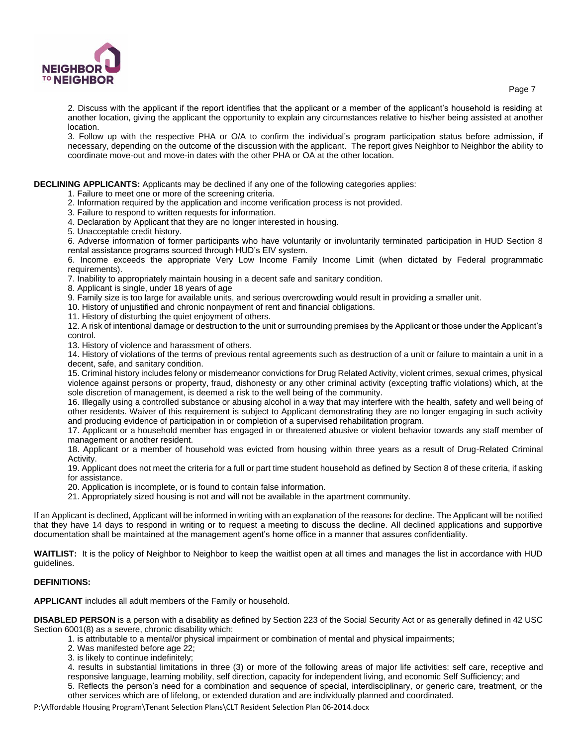

2. Discuss with the applicant if the report identifies that the applicant or a member of the applicant's household is residing at another location, giving the applicant the opportunity to explain any circumstances relative to his/her being assisted at another location.

3. Follow up with the respective PHA or O/A to confirm the individual's program participation status before admission, if necessary, depending on the outcome of the discussion with the applicant. The report gives Neighbor to Neighbor the ability to coordinate move-out and move-in dates with the other PHA or OA at the other location.

### **DECLINING APPLICANTS:** Applicants may be declined if any one of the following categories applies:

1. Failure to meet one or more of the screening criteria.

- 2. Information required by the application and income verification process is not provided.
- 3. Failure to respond to written requests for information.
- 4. Declaration by Applicant that they are no longer interested in housing.
- 5. Unacceptable credit history.

6. Adverse information of former participants who have voluntarily or involuntarily terminated participation in HUD Section 8 rental assistance programs sourced through HUD's EIV system.

6. Income exceeds the appropriate Very Low Income Family Income Limit (when dictated by Federal programmatic requirements).

7. Inability to appropriately maintain housing in a decent safe and sanitary condition.

8. Applicant is single, under 18 years of age

9. Family size is too large for available units, and serious overcrowding would result in providing a smaller unit.

- 10. History of unjustified and chronic nonpayment of rent and financial obligations.
- 11. History of disturbing the quiet enjoyment of others.

12. A risk of intentional damage or destruction to the unit or surrounding premises by the Applicant or those under the Applicant's control.

13. History of violence and harassment of others.

14. History of violations of the terms of previous rental agreements such as destruction of a unit or failure to maintain a unit in a decent, safe, and sanitary condition.

15. Criminal history includes felony or misdemeanor convictions for Drug Related Activity, violent crimes, sexual crimes, physical violence against persons or property, fraud, dishonesty or any other criminal activity (excepting traffic violations) which, at the sole discretion of management, is deemed a risk to the well being of the community.

16. Illegally using a controlled substance or abusing alcohol in a way that may interfere with the health, safety and well being of other residents. Waiver of this requirement is subject to Applicant demonstrating they are no longer engaging in such activity and producing evidence of participation in or completion of a supervised rehabilitation program.

17. Applicant or a household member has engaged in or threatened abusive or violent behavior towards any staff member of management or another resident.

18. Applicant or a member of household was evicted from housing within three years as a result of Drug-Related Criminal Activity.

19. Applicant does not meet the criteria for a full or part time student household as defined by Section 8 of these criteria, if asking for assistance.

20. Application is incomplete, or is found to contain false information.

21. Appropriately sized housing is not and will not be available in the apartment community.

If an Applicant is declined, Applicant will be informed in writing with an explanation of the reasons for decline. The Applicant will be notified that they have 14 days to respond in writing or to request a meeting to discuss the decline. All declined applications and supportive documentation shall be maintained at the management agent's home office in a manner that assures confidentiality.

**WAITLIST:** It is the policy of Neighbor to Neighbor to keep the waitlist open at all times and manages the list in accordance with HUD guidelines.

#### **DEFINITIONS:**

**APPLICANT** includes all adult members of the Family or household.

**DISABLED PERSON** is a person with a disability as defined by Section 223 of the Social Security Act or as generally defined in 42 USC Section 6001(8) as a severe, chronic disability which:

1. is attributable to a mental/or physical impairment or combination of mental and physical impairments;

- 2. Was manifested before age 22;
- 3. is likely to continue indefinitely;

4. results in substantial limitations in three (3) or more of the following areas of major life activities: self care, receptive and responsive language, learning mobility, self direction, capacity for independent living, and economic Self Sufficiency; and 5. Reflects the person's need for a combination and sequence of special, interdisciplinary, or generic care, treatment, or the other services which are of lifelong, or extended duration and are individually planned and coordinated.

P:\Affordable Housing Program\Tenant Selection Plans\CLT Resident Selection Plan 06-2014.docx